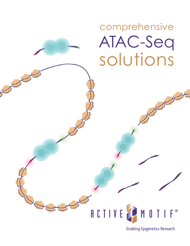# comprehensive solutions ATAC-Seq

# RCTIVE **®**

**Enabling Epigenetics Research**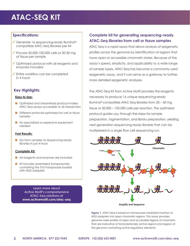# **ATAC-SEQ KIT**

### **Specifications:**

- ✓ Generate 16 sequencing-ready Illumina® compatible ATAC-Seq libraries per kit
- ✓ Process 50,000-100,000 cells or 20-30 mg of tissue per sample
- ✓ Optimized protocol with all reagents and enzymes included
- ✓ Entire workflow can be completed in 4 hours

# **Key Highlights:**

#### **Easy to Use:**

- n Optimized and streamlined protocol makes ATAC-Seq assays accessible to all researchers
- **n** Different protocols optimized for cell or tissue samples
- n No specialized or expensive equipment needed

#### **Fast Results:**

Go from samples to sequencing-ready libraries in just 4 hours

#### **Complete Kit:**

- **n** All reagents and enzymes are included
- **n** Kit includes assembled transposomes, containing the Tn5 transposase loaded with NGS adapters

**Learn more about Active Motif's comprehensive ATAC-Seq solutions at www.activemotif.com/atac-seq**

# **Complete kit for generating sequencing-ready ATAC-Seq libraries from cell or tissue samples**

ATAC-Seq is a rapid assay that allows analysis of epigenetic profiles across the genome by identification of regions that have open or accessible chromatin states. Because of the assay's speed, simplicity, and applicability to a wide range of sample types, ATAC-Seq has become a commonly-used epigenetic assay, and it can serve as a gateway to further, more detailed epigenetic analyses.

The ATAC-Seq Kit from Active Motif provides the reagents necessary to produce 16 unique sequencing-ready Illumina®-compatible ATAC-Seq libraries from 20 – 30 mg tissue or 50,000 – 100,000 cells per reaction. The optimized protocol guides you through the steps for sample preparation, tagmentation, and library preparation, yielding next-generation sequencing-ready libraries that can be multiplexed in a single flow cell sequencing run.



**Figure 1.** ATAC-Seq is based on transposase-mediated insertion of NGS adapters into open chromatin regions. This assay provides genome-wide profiles of open and accessible regions of chromatin that are indicative of transcriptionally active regions and regions of the genome containing active regulatory elements.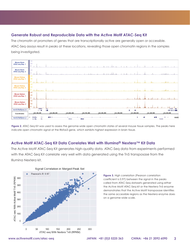#### **Generate Robust and Reproducible Data with the Active Motif ATAC-Seq Kit**

The chromatin at promoters of genes that are transcriptionally active are generally open or accessible. ATAC-Seq assays result in peaks at these locations, revealing those open chromatin regions in the samples being investigated.



Figure 2. ATAC-Seq Kit was used to assess the genome-wide open chromatin states of several mouse tissue samples. The peaks here indicate open chromatin signal at the Rbfox3 gene, which exhibits highest expression in brain tissue.

### **Active Motif ATAC-Seq Kit Data Correlates Well with Illumina® Nextera™ Kit Data**

The Active Motif ATAC-Seq Kit generates high-quality data. ATAC-Seq data from experiments performed with the ATAC-Seq Kit correlate very well with data generated using the Tn5 transposase from the Illumina Nextera kit.



**Figure 3.** High correlation (Pearson correlation coefficient is 0.97) between the signal in the peaks called from ATAC-Seq datasets generated using either the Active Motif ATAC-Seq kit or the Nextera Tn5 enzyme demonstrates that the Active Motif transposase identifies the same accessible regions as the Nextera enzyme does on a genome-wide scale.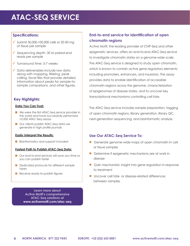# **ATAC-SEQ SERVICE**

### **Specifications:**

- ✓ Submit 50,000-100,000 cells or 20-50 mg of tissue per sample
- ✓ Sequencing depth: 30 M paired-end reads per sample
- ✓ Turnaround time: 5-7 weeks
- ✓ Data deliverables include raw data along with mapping, filtering, peak calling, Excel files that provide detailed information about peaks for sample-tosample comparisons, and other figures.

# **Key Highlights:**

#### **Data You Can Trust:**

- We were the first ATAC-Seq service provider in the world and have successfully performed >2,000 ATAC-Seq assays
- **n** Our clients publish ATAC-Seq data we generate in high profile journals

#### **Easily Interpret the Results:**

**n** Bioinformatics and support included

#### **Fastest Path to Publish ATAC-Seq Data:**

- Our end-to-end services will save you time so you can publish faster
- Dedicated protocols for different sample types
- $\blacksquare$  Receive ready-to-publish figures

**Learn more about Active Motif's comprehensive ATAC-Seq solutions at www.activemotif.com/atac-seq**

# **End-to-end service for identification of open chromatin regions**

Active Motif, the leading provider of ChIP-Seq and other epigenetic services, offers an end-to-end ATAC-Seq service to investigate chromatin states on a genome-wide scale. The ATAC-Seq service is designed to study open chromatin, which is known to contain active gene regulatory elements including promoters, enhancers, and insulators. The assay provides data to enable identification of accessible chromatin regions across the genome, characterization of epigenomes of disease states, and to uncover key transcriptional mechanisms controlling cell fate.

The ATAC-Seq service includes sample preparation, tagging of open chromatin regions, library generation, library QC, next-generation sequencing, and bioinformatic analysis.

#### **Use Our ATAC-Seq Service To:**

- l Generate genome-wide maps of open chromatin in cell or tissue samples
- **•** Determine if epigenetic mechanisms are at work in disease
- **•** Gain mechanistic insight into gene regulation in response to treatment
- **Incover cell fate- or disease-related differences** between samples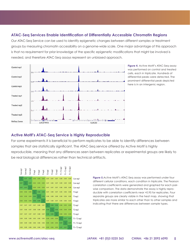#### **ATAC-Seq Services Enable Identification of Differentially Accessible Chromatin Regions**

Our ATAC-Seq Service can be used to identify epigenetic changes between different samples or treatment groups by measuring chromatin accessibility on a genome-wide scale. One major advantage of this approach is that no requirement for prior knowledge of the specific epigenetic modifications that might be involved is needed, and therefore ATAC-Seq assays represent an unbiased approach.



**Figure 4.** Active Motif's ATAC-Seq assay was performed on control and treated cells, each in triplicate. Hundreds of differential peaks were detected. The prominent differential peak depicted here is in an intergenic region.

#### **Active Motif's ATAC-Seq Service is Highly Reproducible**

For some experiments it is beneficial to perform replicates to be able to identify differences between samples that are statistically significant. The ATAC-Seq service offered by Active Motif is highly reproducible, meaning that any differences seen between replicates or experimental groups are likely to be real biological differences rather than technical artifacts.



**Figure 5.**Active Motif's ATAC-Seq assay was performed under four different cellular conditions, each condition in triplicate. The Pearson correlation coefficients were generated and graphed for each pairwise comparison. The data demonstrate the assay is highly reproducible with correlation coefficients near >0.95 for replicates. Four separate groups are clearly visible in the heat map, showing that triplicates are more similar to each other than to other samples and indicating that there are differences between sample types.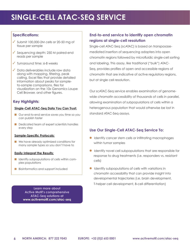# **SINGLE-CELL ATAC-SEQ SERVICE**

### **Specifications:**

- $\checkmark$  Submit 100,000-2M cells or 20-50 mg of tissue per sample
- ✓ Sequencing depth: 250 M paired-end reads per sample
- ✓ Turnaround time: 6-8 weeks
- ✓ Data deliverables include raw data along with mapping, filtering, peak calling, Excel files that provide detailed information about peaks for sampleto-sample comparisons, files for visualization on the 10x Genomics Loupe Cell Browser, and other figures.

## **Key Highlights:**

#### **Single-Cell ATAC-Seq Data You Can Trust:**

- Our end-to-end service saves you time so you can publish faster
- $\blacksquare$  Dedicated team of expert scientists handles every step

#### **Sample-Specific Protocols:**

 $\blacksquare$  We have already optimized conditions for many sample types so you don't have to

#### **Easily Interpret the Results:**

- **n** Identify subpopulations of cells within complex populations
- **n** Bioinformatics and support included

**Learn more about Active Motif's comprehensive ATAC-Seq solutions at www.activemotif.com/atac-seq**

# **End-to-end service to identify open chromatin regions at single-cell resolution**

Single-cell ATAC-Seq (scATAC) is based on transposasemediated insertion of sequencing adapters into open chromatin regions followed by microfluidic single-cell sorting and labeling. This assay, like traditional ("bulk") ATAC-Seq, provides profiles of open and accessible regions of chromatin that are indicative of active regulatory regions, but at single cell resolution.

Our scATAC-Seq service enables examination of genomewide chromatin accessibility of thousands of cells in parallel, allowing examination of subpopulations of cells within a heterogenous population that would otherwise be lost in standard ATAC-Seq assays.

# **Use Our Single-Cell ATAC-Seq Service To:**

- **I** Identify cancer stem cells or infiltrating macrophages within tumor samples
- $\bullet$  Identify novel cell subpopulations that are responsible for response to drug treatments (i.e. responders vs. resistant cells)
- $\bullet$  Identify subpopulations of cells with variations in chromatin accessibility that can provide insight into developmental trajectories (i.e. brain development, T-helper cell development, B-cell differentiation)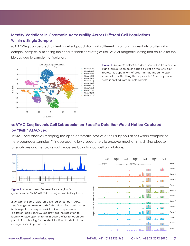# **Identify Variations in Chromatin Accessibility Across Different Cell Populations Within a Single Sample**

scATAC-Seq can be used to identify cell subpopulations with different chromatin accessibility profiles within complex samples, eliminating the need for isolation strategies like FACS or magnetic sorting that could alter the biology due to sample manipulation.



**Figure 6.** Single-Cell ATAC-Seq data generated from mouse kidney tissue. Each color-coded cluster on the tSNE plot represents populations of cells that had the same open chromatin profile. Using this approach, 12 cell populations were identified from a single sample.

# **scATAC-Seq Reveals Cell Subpopulation-Specific Data that Would Not be Captured by "Bulk" ATAC-Seq**

scATAC-Seq enables mapping the open chromatin profiles of cell subpopulations within complex or heterogeneous samples. This approach allows researchers to uncover mechanisms driving disease phenotypes or other biological processes by individual cell populations.



**Figure 7.** *Above panel*: Representative region from genome-wide "bulk" ATAC-Seq using mouse kidney tissue.

*Right panel:* Same representative region as "bulk" ATAC-Seq from genome-wide scATAC-Seq data. Each cell cluster is displayed as a unique peak track and represented in a different color. scATAC-Seq provides the resolution to identify unique open chromatin peak profiles for each cell population, allowing for the identification of cells that are driving a specific phenotype.